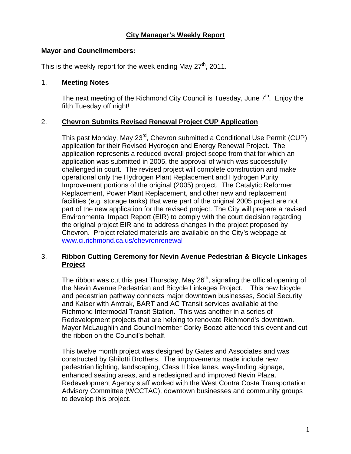## **City Manager's Weekly Report**

#### **Mayor and Councilmembers:**

This is the weekly report for the week ending May  $27<sup>th</sup>$ , 2011.

#### 1. **Meeting Notes**

The next meeting of the Richmond City Council is Tuesday, June  $7<sup>th</sup>$ . Enjoy the fifth Tuesday off night!

### 2. **Chevron Submits Revised Renewal Project CUP Application**

This past Monday, May 23<sup>rd</sup>, Chevron submitted a Conditional Use Permit (CUP) application for their Revised Hydrogen and Energy Renewal Project. The application represents a reduced overall project scope from that for which an application was submitted in 2005, the approval of which was successfully challenged in court. The revised project will complete construction and make operational only the Hydrogen Plant Replacement and Hydrogen Purity Improvement portions of the original (2005) project. The Catalytic Reformer Replacement, Power Plant Replacement, and other new and replacement facilities (e.g. storage tanks) that were part of the original 2005 project are not part of the new application for the revised project. The City will prepare a revised Environmental Impact Report (EIR) to comply with the court decision regarding the original project EIR and to address changes in the project proposed by Chevron. Project related materials are available on the City's webpage at [www.ci.richmond.ca.us/chevronrenewal](http://www.ci.richmond.ca.us/chevronrenewal)

## 3. **Ribbon Cutting Ceremony for Nevin Avenue Pedestrian & Bicycle Linkages Project**

The ribbon was cut this past Thursday, May  $26<sup>th</sup>$ , signaling the official opening of the Nevin Avenue Pedestrian and Bicycle Linkages Project. This new bicycle and pedestrian pathway connects major downtown businesses, Social Security and Kaiser with Amtrak, BART and AC Transit services available at the Richmond Intermodal Transit Station. This was another in a series of Redevelopment projects that are helping to renovate Richmond's downtown. Mayor McLaughlin and Councilmember Corky Boozé attended this event and cut the ribbon on the Council's behalf.

This twelve month project was designed by Gates and Associates and was constructed by Ghilotti Brothers. The improvements made include new pedestrian lighting, landscaping, Class II bike lanes, way-finding signage, enhanced seating areas, and a redesigned and improved Nevin Plaza. Redevelopment Agency staff worked with the West Contra Costa Transportation Advisory Committee (WCCTAC), downtown businesses and community groups to develop this project.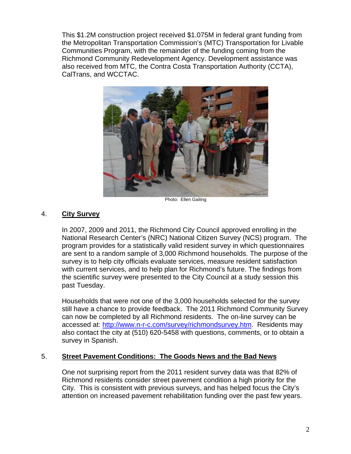This \$1.2M construction project received \$1.075M in federal grant funding from the Metropolitan Transportation Commission's (MTC) Transportation for Livable Communities Program, with the remainder of the funding coming from the Richmond Community Redevelopment Agency. Development assistance was also received from MTC, the Contra Costa Transportation Authority (CCTA), CalTrans, and WCCTAC.



Photo: Ellen Gailing

## 4. **City Survey**

In 2007, 2009 and 2011, the Richmond City Council approved enrolling in the National Research Center's (NRC) National Citizen Survey (NCS) program. The program provides for a statistically valid resident survey in which questionnaires are sent to a random sample of 3,000 Richmond households. The purpose of the survey is to help city officials evaluate services, measure resident satisfaction with current services, and to help plan for Richmond's future. The findings from the scientific survey were presented to the City Council at a study session this past Tuesday.

Households that were not one of the 3,000 households selected for the survey still have a chance to provide feedback. The 2011 Richmond Community Survey can now be completed by all Richmond residents. The on-line survey can be accessed at: [http://www.n-r-c.com/survey/richmondsurvey.htm.](http://www.n-r-c.com/survey/richmondsurvey.htm) Residents may also contact the city at (510) 620-5458 with questions, comments, or to obtain a survey in Spanish.

#### 5. **Street Pavement Conditions: The Goods News and the Bad News**

One not surprising report from the 2011 resident survey data was that 82% of Richmond residents consider street pavement condition a high priority for the City. This is consistent with previous surveys, and has helped focus the City's attention on increased pavement rehabilitation funding over the past few years.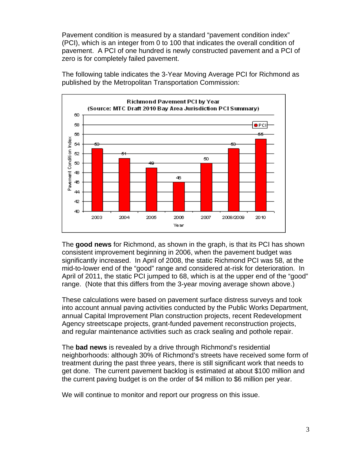Pavement condition is measured by a standard "pavement condition index" (PCI), which is an integer from 0 to 100 that indicates the overall condition of pavement. A PCI of one hundred is newly constructed pavement and a PCI of zero is for completely failed pavement.



The following table indicates the 3-Year Moving Average PCI for Richmond as published by the Metropolitan Transportation Commission:

The **good news** for Richmond, as shown in the graph, is that its PCI has shown consistent improvement beginning in 2006, when the pavement budget was significantly increased. In April of 2008, the static Richmond PCI was 58, at the mid-to-lower end of the "good" range and considered at-risk for deterioration. In April of 2011, the static PCI jumped to 68, which is at the upper end of the "good" range. (Note that this differs from the 3-year moving average shown above.)

These calculations were based on pavement surface distress surveys and took into account annual paving activities conducted by the Public Works Department, annual Capital Improvement Plan construction projects, recent Redevelopment Agency streetscape projects, grant-funded pavement reconstruction projects, and regular maintenance activities such as crack sealing and pothole repair.

The **bad news** is revealed by a drive through Richmond's residential neighborhoods: although 30% of Richmond's streets have received some form of treatment during the past three years, there is still significant work that needs to get done. The current pavement backlog is estimated at about \$100 million and the current paving budget is on the order of \$4 million to \$6 million per year.

We will continue to monitor and report our progress on this issue.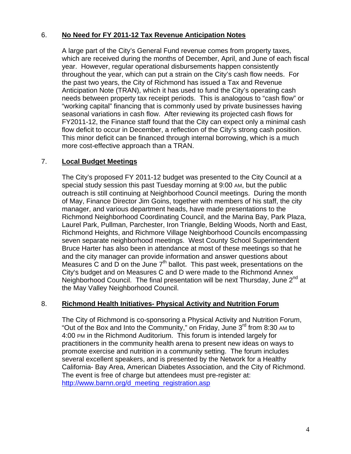## 6. **No Need for FY 2011-12 Tax Revenue Anticipation Notes**

A large part of the City's General Fund revenue comes from property taxes, which are received during the months of December, April, and June of each fiscal year. However, regular operational disbursements happen consistently throughout the year, which can put a strain on the City's cash flow needs. For the past two years, the City of Richmond has issued a Tax and Revenue Anticipation Note (TRAN), which it has used to fund the City's operating cash needs between property tax receipt periods. This is analogous to "cash flow" or "working capital" financing that is commonly used by private businesses having seasonal variations in cash flow. After reviewing its projected cash flows for FY2011-12, the Finance staff found that the City can expect only a minimal cash flow deficit to occur in December, a reflection of the City's strong cash position. This minor deficit can be financed through internal borrowing, which is a much more cost-effective approach than a TRAN.

### 7. **Local Budget Meetings**

The City's proposed FY 2011-12 budget was presented to the City Council at a special study session this past Tuesday morning at 9:00 AM, but the public outreach is still continuing at Neighborhood Council meetings. During the month of May, Finance Director Jim Goins, together with members of his staff, the city manager, and various department heads, have made presentations to the Richmond Neighborhood Coordinating Council, and the Marina Bay, Park Plaza, Laurel Park, Pullman, Parchester, Iron Triangle, Belding Woods, North and East, Richmond Heights, and Richmore Village Neighborhood Councils encompassing seven separate neighborhood meetings. West County School Superintendent Bruce Harter has also been in attendance at most of these meetings so that he and the city manager can provide information and answer questions about Measures C and D on the June  $7<sup>th</sup>$  ballot. This past week, presentations on the City's budget and on Measures C and D were made to the Richmond Annex Neighborhood Council. The final presentation will be next Thursday, June 2<sup>nd</sup> at the May Valley Neighborhood Council.

#### 8. **Richmond Health Initiatives- Physical Activity and Nutrition Forum**

The City of Richmond is co-sponsoring a Physical Activity and Nutrition Forum, "Out of the Box and Into the Community," on Friday, June  $3^{rd}$  from 8:30 AM to 4:00 PM in the Richmond Auditorium. This forum is intended largely for practitioners in the community health arena to present new ideas on ways to promote exercise and nutrition in a community setting. The forum includes several excellent speakers, and is presented by the Network for a Healthy California- Bay Area, American Diabetes Association, and the City of Richmond. The event is free of charge but attendees must pre-register at: http://www.barnn.org/d\_meeting\_registration.asp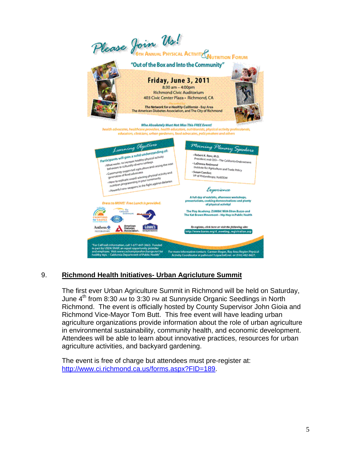

## 9. **Richmond Health Initiatives- Urban Agricluture Summit**

The first ever Urban Agriculture Summit in Richmond will be held on Saturday, June  $4<sup>th</sup>$  from 8:30 AM to 3:30 PM at Sunnyside Organic Seedlings in North Richmond. The event is officially hosted by County Supervisor John Gioia and Richmond Vice-Mayor Tom Butt. This free event will have leading urban agriculture organizations provide information about the role of urban agriculture in environmental sustainability, community health, and economic development. Attendees will be able to learn about innovative practices, resources for urban agriculture activities, and backyard gardening.

The event is free of charge but attendees must pre-register at: [http://www.ci.richmond.ca.us/forms.aspx?FID=189.](http://www.ci.richmond.ca.us/forms.aspx?FID=189)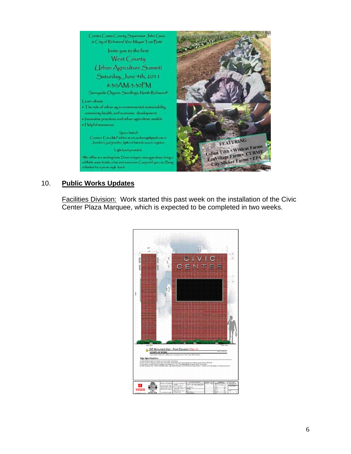

# 10. **Public Works Updates**

Facilities Division: Work started this past week on the installation of the Civic Center Plaza Marquee, which is expected to be completed in two weeks.